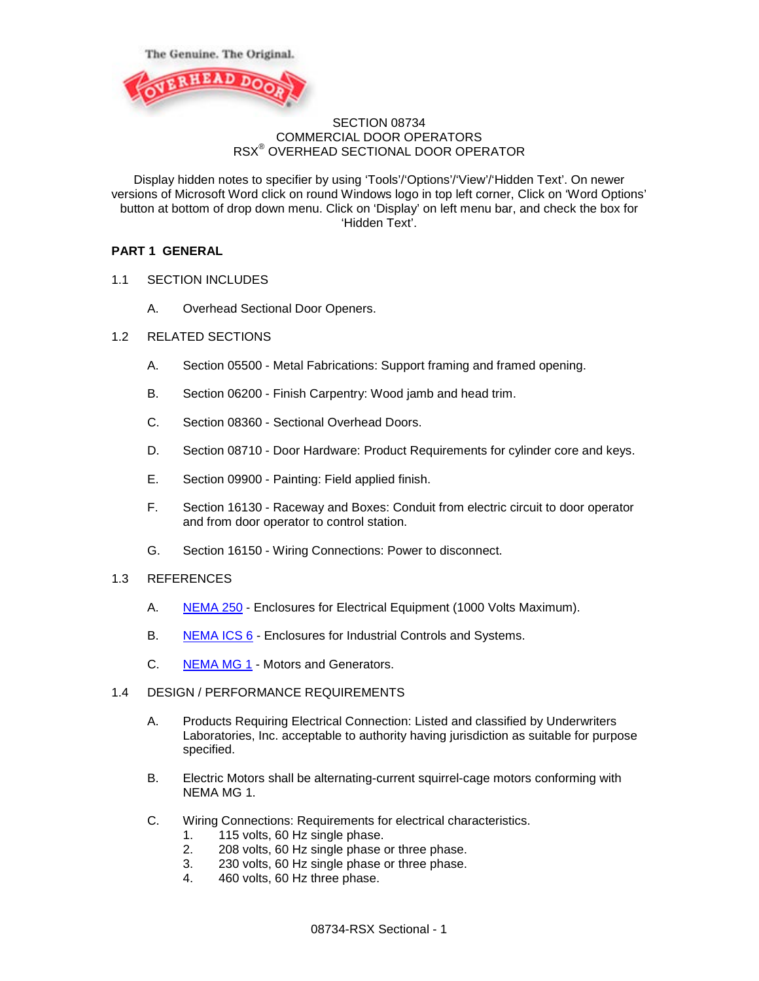



### SECTION 08734 COMMERCIAL DOOR OPERATORS RSX® OVERHEAD SECTIONAL DOOR OPERATOR

Display hidden notes to specifier by using 'Tools'/'Options'/'View'/'Hidden Text'. On newer versions of Microsoft Word click on round Windows logo in top left corner, Click on 'Word Options' button at bottom of drop down menu. Click on 'Display' on left menu bar, and check the box for 'Hidden Text'.

# **PART 1 GENERAL**

- 1.1 SECTION INCLUDES
	- A. Overhead Sectional Door Openers.
- 1.2 RELATED SECTIONS
	- A. Section 05500 Metal Fabrications: Support framing and framed opening.
	- B. Section 06200 Finish Carpentry: Wood jamb and head trim.
	- C. Section 08360 Sectional Overhead Doors.
	- D. Section 08710 Door Hardware: Product Requirements for cylinder core and keys.
	- E. Section 09900 Painting: Field applied finish.
	- F. Section 16130 Raceway and Boxes: Conduit from electric circuit to door operator and from door operator to control station.
	- G. Section 16150 Wiring Connections: Power to disconnect.
- 1.3 REFERENCES
	- A. [NEMA 250](http://www.astm.org/Standards/B221.htm) Enclosures for Electrical Equipment (1000 Volts Maximum).
	- B. [NEMA ICS 6](http://www.nema.org/stds/ics6.cfm) Enclosures for Industrial Controls and Systems.
	- C. [NEMA MG 1](http://www.nema.org/stds/MG1.cfm) Motors and Generators.
- 1.4 DESIGN / PERFORMANCE REQUIREMENTS
	- A. Products Requiring Electrical Connection: Listed and classified by Underwriters Laboratories, Inc. acceptable to authority having jurisdiction as suitable for purpose specified.
	- B. Electric Motors shall be alternating-current squirrel-cage motors conforming with NEMA MG 1.
	- C. Wiring Connections: Requirements for electrical characteristics.
		- 1. 115 volts, 60 Hz single phase.
		- 2. 208 volts, 60 Hz single phase or three phase.
		- 3. 230 volts, 60 Hz single phase or three phase.<br>4. 460 volts, 60 Hz three phase.
		- 460 volts, 60 Hz three phase.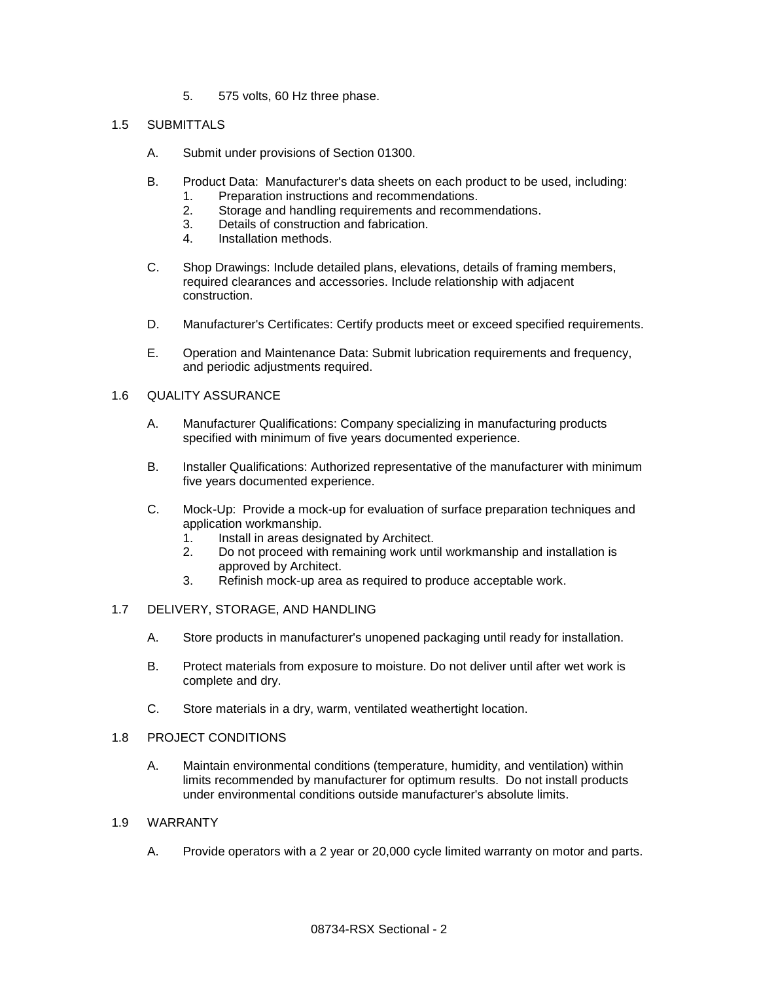5. 575 volts, 60 Hz three phase.

## 1.5 SUBMITTALS

- A. Submit under provisions of Section 01300.
- B. Product Data: Manufacturer's data sheets on each product to be used, including:
	- 1. Preparation instructions and recommendations.
		- 2. Storage and handling requirements and recommendations.<br>3. Details of construction and fabrication.
		- Details of construction and fabrication.
	- 4. Installation methods.
- C. Shop Drawings: Include detailed plans, elevations, details of framing members, required clearances and accessories. Include relationship with adjacent construction.
- D. Manufacturer's Certificates: Certify products meet or exceed specified requirements.
- E. Operation and Maintenance Data: Submit lubrication requirements and frequency, and periodic adjustments required.

## 1.6 QUALITY ASSURANCE

- A. Manufacturer Qualifications: Company specializing in manufacturing products specified with minimum of five years documented experience.
- B. Installer Qualifications: Authorized representative of the manufacturer with minimum five years documented experience.
- C. Mock-Up: Provide a mock-up for evaluation of surface preparation techniques and application workmanship.
	- 1. Install in areas designated by Architect.<br>2. Do not proceed with remaining work unt
	- 2. Do not proceed with remaining work until workmanship and installation is approved by Architect.
	- 3. Refinish mock-up area as required to produce acceptable work.
- 1.7 DELIVERY, STORAGE, AND HANDLING
	- A. Store products in manufacturer's unopened packaging until ready for installation.
	- B. Protect materials from exposure to moisture. Do not deliver until after wet work is complete and dry.
	- C. Store materials in a dry, warm, ventilated weathertight location.

## 1.8 PROJECT CONDITIONS

A. Maintain environmental conditions (temperature, humidity, and ventilation) within limits recommended by manufacturer for optimum results. Do not install products under environmental conditions outside manufacturer's absolute limits.

### 1.9 WARRANTY

A. Provide operators with a 2 year or 20,000 cycle limited warranty on motor and parts.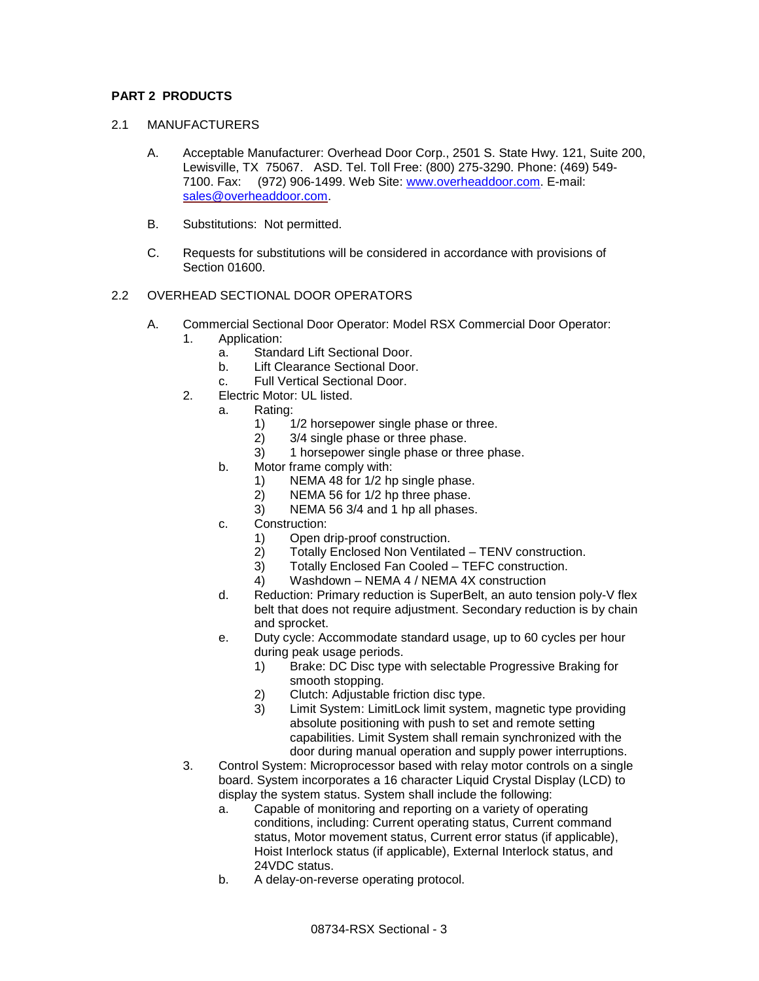# **PART 2 PRODUCTS**

- 2.1 MANUFACTURERS
	- A. Acceptable Manufacturer: Overhead Door Corp., 2501 S. State Hwy. 121, Suite 200, Lewisville, TX 75067. ASD. Tel. Toll Free: (800) 275-3290. Phone: (469) 549- 7100. Fax: (972) 906-1499. Web Site: [www.overheaddoor.com.](http://www.overheaddoor.com/) E-mail: [sales@overheaddoor.com.](mailto:sales@overheaddoor.com)
	- B. Substitutions: Not permitted.
	- C. Requests for substitutions will be considered in accordance with provisions of Section 01600.

## 2.2 OVERHEAD SECTIONAL DOOR OPERATORS

- A. Commercial Sectional Door Operator: Model RSX Commercial Door Operator:
	- 1. Application:
		- a. Standard Lift Sectional Door.
		- b. Lift Clearance Sectional Door.
		- c. Full Vertical Sectional Door.
	- 2. Electric Motor: UL listed.
		- a. Rating:
			- 1)  $1/2$  horsepower single phase or three.<br>2)  $3/4$  single phase or three phase.
			- 2) 3/4 single phase or three phase.
			- 3) 1 horsepower single phase or three phase.
			- b. Motor frame comply with:
				- 1) NEMA 48 for 1/2 hp single phase.
				- 2) NEMA 56 for 1/2 hp three phase.
				- 3) NEMA 56 3/4 and 1 hp all phases.
			- c. Construction:
				- 1) Open drip-proof construction.<br>2) Totally Enclosed Non Ventilat
				- 2) Totally Enclosed Non Ventilated TENV construction.<br>3) Totally Enclosed Fan Cooled TEFC construction.
				- 3) Totally Enclosed Fan Cooled TEFC construction.
				- 4) Washdown NEMA 4 / NEMA 4X construction
			- d. Reduction: Primary reduction is SuperBelt, an auto tension poly-V flex belt that does not require adjustment. Secondary reduction is by chain and sprocket.
			- e. Duty cycle: Accommodate standard usage, up to 60 cycles per hour during peak usage periods.
				- 1) Brake: DC Disc type with selectable Progressive Braking for smooth stopping.
				- 2) Clutch: Adjustable friction disc type.
				- 3) Limit System: LimitLock limit system, magnetic type providing absolute positioning with push to set and remote setting capabilities. Limit System shall remain synchronized with the door during manual operation and supply power interruptions.
	- 3. Control System: Microprocessor based with relay motor controls on a single board. System incorporates a 16 character Liquid Crystal Display (LCD) to display the system status. System shall include the following:
		- a. Capable of monitoring and reporting on a variety of operating conditions, including: Current operating status, Current command status, Motor movement status, Current error status (if applicable), Hoist Interlock status (if applicable), External Interlock status, and 24VDC status.
		- b. A delay-on-reverse operating protocol.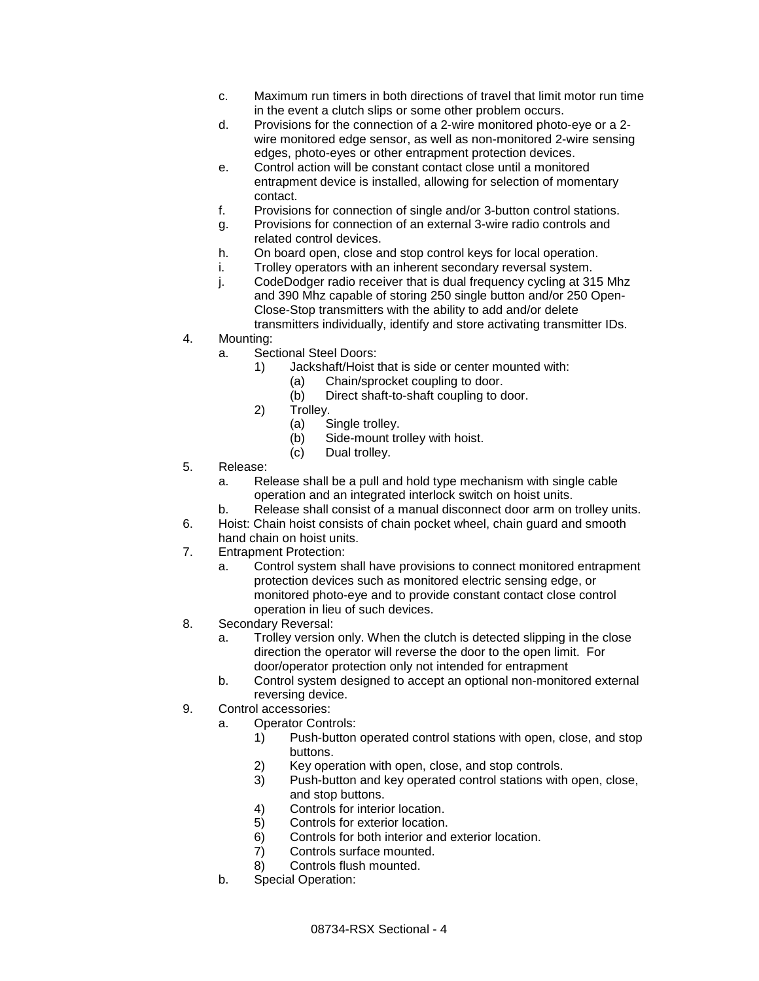- c. Maximum run timers in both directions of travel that limit motor run time in the event a clutch slips or some other problem occurs.
- d. Provisions for the connection of a 2-wire monitored photo-eye or a 2 wire monitored edge sensor, as well as non-monitored 2-wire sensing edges, photo-eyes or other entrapment protection devices.
- e. Control action will be constant contact close until a monitored entrapment device is installed, allowing for selection of momentary contact.
- f. Provisions for connection of single and/or 3-button control stations.
- g. Provisions for connection of an external 3-wire radio controls and related control devices.
- h. On board open, close and stop control keys for local operation.
- i. Trolley operators with an inherent secondary reversal system.
- j. CodeDodger radio receiver that is dual frequency cycling at 315 Mhz and 390 Mhz capable of storing 250 single button and/or 250 Open-Close-Stop transmitters with the ability to add and/or delete transmitters individually, identify and store activating transmitter IDs.
- 4. Mounting:
	- a. Sectional Steel Doors:
		- 1) Jackshaft/Hoist that is side or center mounted with:
			- (a) Chain/sprocket coupling to door.
				- (b) Direct shaft-to-shaft coupling to door.
		- 2) Trolley.
			- (a) Single trolley.
			- (b) Side-mount trolley with hoist.
			- (c) Dual trolley.
- 5. Release:
	- a. Release shall be a pull and hold type mechanism with single cable operation and an integrated interlock switch on hoist units.
	- b. Release shall consist of a manual disconnect door arm on trolley units.
- 6. Hoist: Chain hoist consists of chain pocket wheel, chain guard and smooth hand chain on hoist units.
- 7. Entrapment Protection:
	- a. Control system shall have provisions to connect monitored entrapment protection devices such as monitored electric sensing edge, or monitored photo-eye and to provide constant contact close control operation in lieu of such devices.
- 8. Secondary Reversal:
	- a. Trolley version only. When the clutch is detected slipping in the close direction the operator will reverse the door to the open limit. For door/operator protection only not intended for entrapment
	- b. Control system designed to accept an optional non-monitored external reversing device.
- 9. Control accessories:
	- a. Operator Controls:
		- 1) Push-button operated control stations with open, close, and stop buttons.
		- 2) Key operation with open, close, and stop controls.
		- 3) Push-button and key operated control stations with open, close, and stop buttons.
		- 4) Controls for interior location.
		- 5) Controls for exterior location.
		- 6) Controls for both interior and exterior location.<br>
		7) Controls surface mounted.
		- Controls surface mounted.
		- 8) Controls flush mounted.
	- b. Special Operation: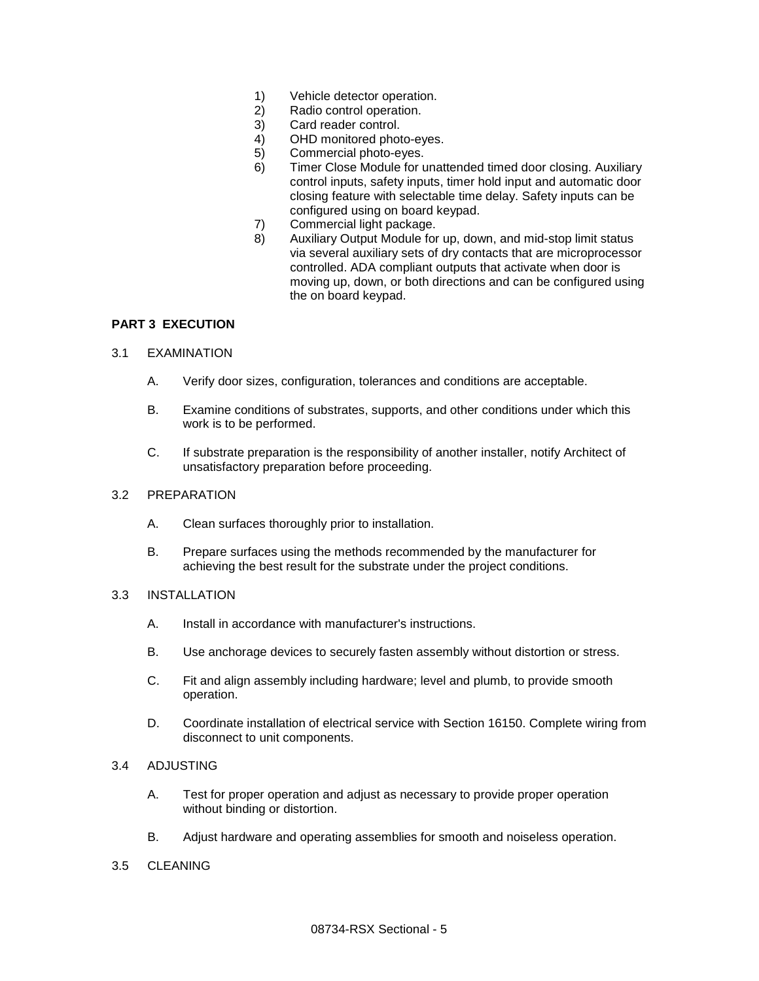- 1) Vehicle detector operation.
- 2) Radio control operation.
- 3) Card reader control.<br>4) OHD monitored phot
- OHD monitored photo-eyes.
- 5) Commercial photo-eyes.
- 6) Timer Close Module for unattended timed door closing. Auxiliary control inputs, safety inputs, timer hold input and automatic door closing feature with selectable time delay. Safety inputs can be configured using on board keypad.
- 7) Commercial light package.
- 8) Auxiliary Output Module for up, down, and mid-stop limit status via several auxiliary sets of dry contacts that are microprocessor controlled. ADA compliant outputs that activate when door is moving up, down, or both directions and can be configured using the on board keypad.

#### **PART 3 EXECUTION**

#### 3.1 EXAMINATION

- A. Verify door sizes, configuration, tolerances and conditions are acceptable.
- B. Examine conditions of substrates, supports, and other conditions under which this work is to be performed.
- C. If substrate preparation is the responsibility of another installer, notify Architect of unsatisfactory preparation before proceeding.

#### 3.2 PREPARATION

- A. Clean surfaces thoroughly prior to installation.
- B. Prepare surfaces using the methods recommended by the manufacturer for achieving the best result for the substrate under the project conditions.
- 3.3 INSTALLATION
	- A. Install in accordance with manufacturer's instructions.
	- B. Use anchorage devices to securely fasten assembly without distortion or stress.
	- C. Fit and align assembly including hardware; level and plumb, to provide smooth operation.
	- D. Coordinate installation of electrical service with Section 16150. Complete wiring from disconnect to unit components.

### 3.4 ADJUSTING

- A. Test for proper operation and adjust as necessary to provide proper operation without binding or distortion.
- B. Adjust hardware and operating assemblies for smooth and noiseless operation.

## 3.5 CLEANING